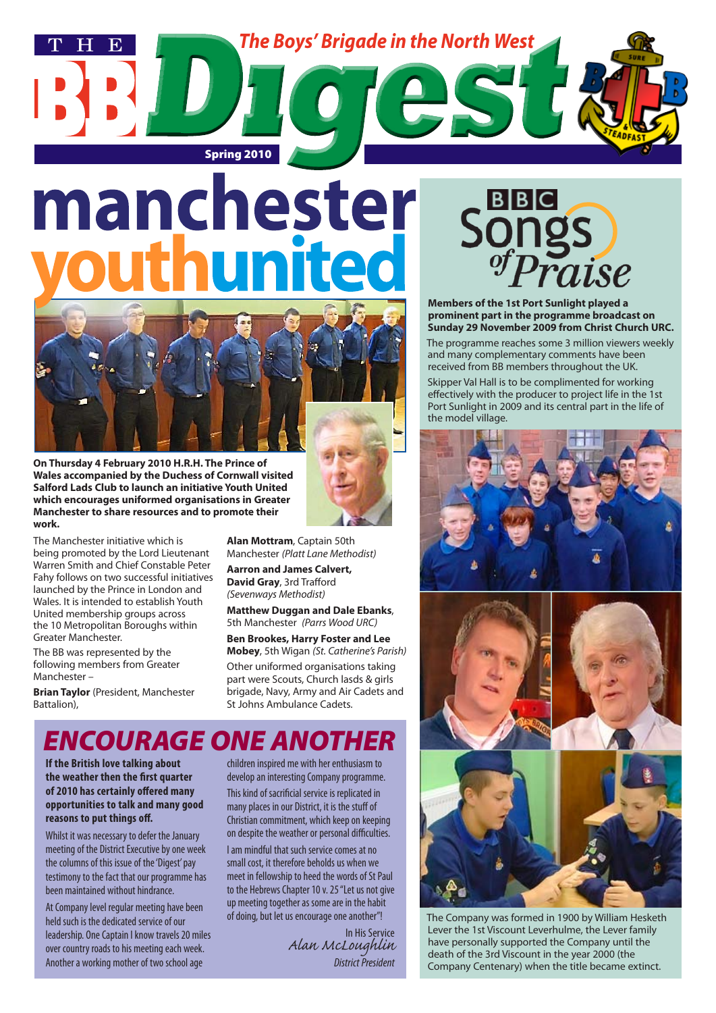

# manchester



**On Thursday 4 February 2010 H.R.H. The Prince of Wales accompanied by the Duchess of Cornwall visited Salford Lads Club to launch an initiative Youth United which encourages uniformed organisations in Greater Manchester to share resources and to promote their work.** 

The Manchester initiative which is being promoted by the Lord Lieutenant Warren Smith and Chief Constable Peter Fahy follows on two successful initiatives launched by the Prince in London and Wales. It is intended to establish Youth United membership groups across the 10 Metropolitan Boroughs within Greater Manchester.

The BB was represented by the following members from Greater Manchester –

**Brian Taylor** (President, Manchester Battalion),

**Alan Mottram**, Captain 50th Manchester *(Platt Lane Methodist)* **Aarron and James Calvert, David Gray**, 3rd Trafford *(Sevenways Methodist)*

**Matthew Duggan and Dale Ebanks**, 5th Manchester *(Parrs Wood URC)*

**Ben Brookes, Harry Foster and Lee Mobey**, 5th Wigan *(St. Catherine's Parish)* Other uniformed organisations taking part were Scouts, Church lasds & girls brigade, Navy, Army and Air Cadets and St Johns Ambulance Cadets.

# *ENCOURAGE ONE ANOTHER*

**If the British love talking about the weather then the first quarter of 2010 has certainly offered many opportunities to talk and many good reasons to put things off.**

Whilst it was necessary to defer the January meeting of the District Executive by one week the columns of this issue of the 'Digest' pay testimony to the fact that our programme has been maintained without hindrance.

At Company level regular meeting have been held such is the dedicated service of our leadership. One Captain I know travels 20 miles over country roads to his meeting each week. Another a working mother of two school age

children inspired me with her enthusiasm to develop an interesting Company programme. This kind of sacrificial service is replicated in many places in our District, it is the stuff of Christian commitment, which keep on keeping on despite the weather or personal difficulties.

I am mindful that such service comes at no small cost, it therefore beholds us when we meet in fellowship to heed the words of St Paul to the Hebrews Chapter 10 v. 25 "Let us not give up meeting together as some are in the habit of doing, but let us encourage one another"!

> In His Service *Alan McLoughlin District President*



**Members of the 1st Port Sunlight played a prominent part in the programme broadcast on Sunday 29 November 2009 from Christ Church URC.**

The programme reaches some 3 million viewers weekly and many complementary comments have been received from BB members throughout the UK.

Skipper Val Hall is to be complimented for working effectively with the producer to project life in the 1st Port Sunlight in 2009 and its central part in the life of the model village.



The Company was formed in 1900 by William Hesketh Lever the 1st Viscount Leverhulme, the Lever family have personally supported the Company until the death of the 3rd Viscount in the year 2000 (the Company Centenary) when the title became extinct.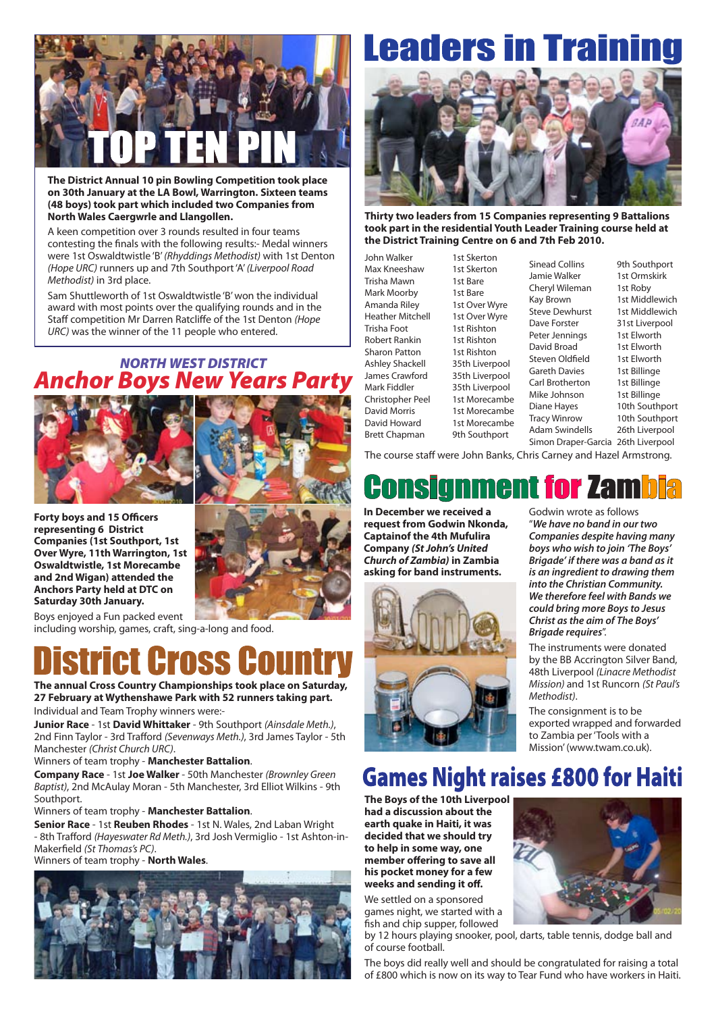

**The District Annual 10 pin Bowling Competition took place on 30th January at the LA Bowl, Warrington. Sixteen teams (48 boys) took part which included two Companies from North Wales Caergwrle and Llangollen.**

A keen competition over 3 rounds resulted in four teams contesting the finals with the following results:- Medal winners were 1st Oswaldtwistle 'B' *(Rhyddings Methodist)* with 1st Denton *(Hope URC)* runners up and 7th Southport 'A' *(Liverpool Road Methodist)* in 3rd place.

Sam Shuttleworth of 1st Oswaldtwistle 'B' won the individual award with most points over the qualifying rounds and in the Staff competition Mr Darren Ratcliffe of the 1st Denton *(Hope URC)* was the winner of the 11 people who entered.

#### *NORTH WEST DISTRICT Anchor Boys New Years Party*



**Forty boys and 15 Officers representing 6 District Companies (1st Southport, 1st Over Wyre, 11th Warrington, 1st Oswaldtwistle, 1st Morecambe and 2nd Wigan) attended the Anchors Party held at DTC on Saturday 30th January.**



Boys enjoyed a Fun packed event including worship, games, craft, sing-a-long and food.

**The annual Cross Country Championships took place on Saturday, 27 February at Wythenshawe Park with 52 runners taking part.** Individual and Team Trophy winners were:-

**Junior Race** - 1st **David Whittaker** - 9th Southport *(Ainsdale Meth.)*, 2nd Finn Taylor - 3rd Trafford *(Sevenways Meth.)*, 3rd James Taylor - 5th Manchester *(Christ Church URC)*.

#### Winners of team trophy - **Manchester Battalion**.

**Company Race** - 1st **Joe Walker** - 50th Manchester *(Brownley Green Baptist)*, 2nd McAulay Moran - 5th Manchester, 3rd Elliot Wilkins - 9th Southport.

Winners of team trophy - **Manchester Battalion**.

**Senior Race** - 1st **Reuben Rhodes** - 1st N. Wales, 2nd Laban Wright - 8th Trafford *(Hayeswater Rd Meth.)*, 3rd Josh Vermiglio - 1st Ashton-in-Makerfield *(St Thomas's PC)*.

#### Winners of team trophy - **North Wales**.



# **Leaders in Traini**



**Thirty two leaders from 15 Companies representing 9 Battalions took part in the residential Youth Leader Training course held at the District Training Centre on 6 and 7th Feb 2010.**

John Walker 1st Skerton Max Kneeshaw 1st Skerton Trisha Mawn 1st Bare Mark Moorby 1st Bare Amanda Riley 1st Over Wyre Heather Mitchell 1st Over Wyre Trisha Foot 1st Rishton Robert Rankin 1st Rishton<br>Sharon Patton 1st Rishton Sharon Patton Ashley Shackell 35th Liverpool<br>James Crawford 35th Liverpool James Crawford Mark Fiddler 35th Liverpool Christopher Peel 1st Morecambe David Morris 1st Morecambe David Howard 1st Morecambe

Brett Chapman 9th Southport

Sinead Collins 9th Southport Jamie Walker 1st Ormskirk<br>Chervl Wileman 1st Roby Cheryl Wileman Kay Brown 1st Middlewich<br>Steve Dewhurst 1st Middlewich Steve Dewhurst Dave Forster 31st Liverpool<br>Peter Jennings 1st Elworth Peter Jennings David Broad 1st Elworth Steven Oldfield 1st Elworth Gareth Davies 1st Billinge Carl Brotherton 1st Billinge Mike Johnson 1st Billinge Diane Hayes 10th Southport Tracy Winrow 10th Southport Adam Swindells 26th Liverpool Simon Draper-Garcia 26th Liverpool

The course staff were John Banks, Chris Carney and Hazel Armstrong.

**In December we received a request from Godwin Nkonda, Captainof the 4th Mufulira Company** *(St John's United Church of Zambia)* **in Zambia asking for band instruments.**



Godwin wrote as follows "*We have no band in our two Companies despite having many boys who wish to join 'The Boys' Brigade' if there was a band as it is an ingredient to drawing them into the Christian Community. We therefore feel with Bands we could bring more Boys to Jesus Christ as the aim of The Boys' Brigade requires*".

The instruments were donated by the BB Accrington Silver Band, 48th Liverpool *(Linacre Methodist Mission)* and 1st Runcorn *(St Paul's Methodist)*.

The consignment is to be exported wrapped and forwarded to Zambia per 'Tools with a Mission' (www.twam.co.uk).

## **Games Night raises £800 for Haiti**

**The Boys of the 10th Liverpool had a discussion about the earth quake in Haiti, it was decided that we should try to help in some way, one member offering to save all his pocket money for a few weeks and sending it off.** 

We settled on a sponsored games night, we started with a fish and chip supper, followed

by 12 hours playing snooker, pool, darts, table tennis, dodge ball and of course football.

The boys did really well and should be congratulated for raising a total of £800 which is now on its way to Tear Fund who have workers in Haiti.

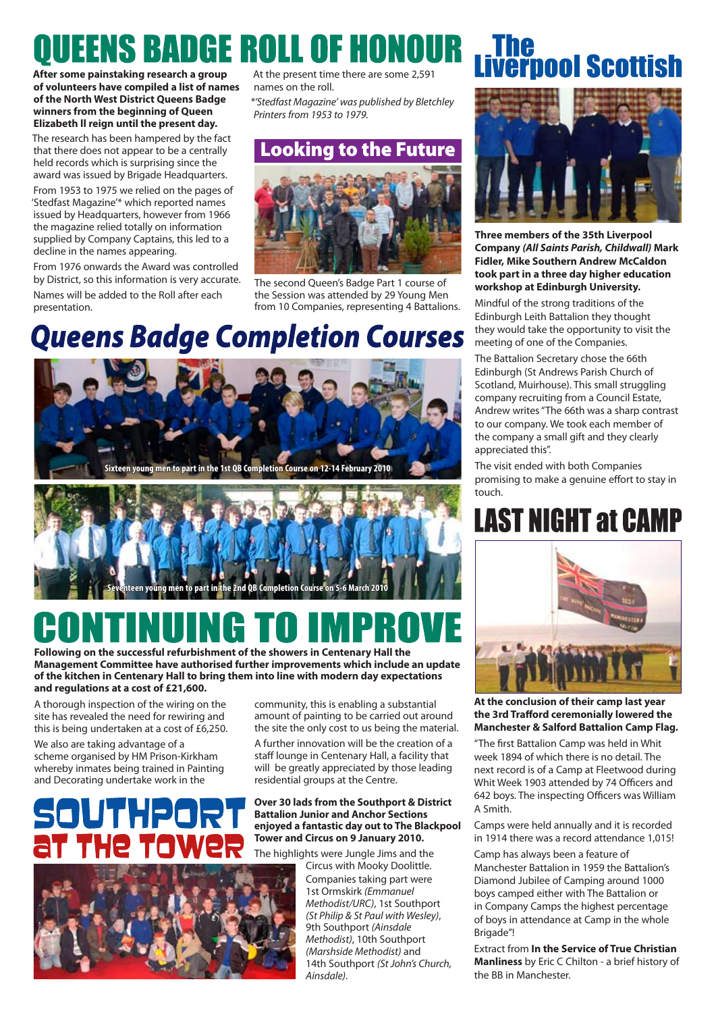# **QUEENS BADGE ROLL OF HONOUR**

#### **After some painstaking research a group of volunteers have compiled a list of names of the North West District Queens Badge winners from the beginning of Queen Elizabeth ll reign until the present day.**

The research has been hampered by the fact that there does not appear to be a centrally held records which is surprising since the award was issued by Brigade Headquarters.

From 1953 to 1975 we relied on the pages of 'Stedfast Magazine'\* which reported names issued by Headquarters, however from 1966 the magazine relied totally on information supplied by Company Captains, this led to a decline in the names appearing.

From 1976 onwards the Award was controlled by District, so this information is very accurate. Names will be added to the Roll after each presentation.

At the present time there are some 2,591 names on the roll.

*\*'Stedfast Magazine' was published by Bletchley Printers from 1953 to 1979.*

## Looking to the Future



The second Queen's Badge Part 1 course of the Session was attended by 29 Young Men from 10 Companies, representing 4 Battalions.

# **Queens Badge Completion Courses**





# **Following on the successful refurbishment of the showers in Centenary Hall the**

**Management Committee have authorised further improvements which include an update of the kitchen in Centenary Hall to bring them into line with modern day expectations and regulations at a cost of £21,600.**

A thorough inspection of the wiring on the site has revealed the need for rewiring and this is being undertaken at a cost of £6,250.

We also are taking advantage of a scheme organised by HM Prison-Kirkham whereby inmates being trained in Painting and Decorating undertake work in the



community, this is enabling a substantial amount of painting to be carried out around the site the only cost to us being the material. A further innovation will be the creation of a staff lounge in Centenary Hall, a facility that will be greatly appreciated by those leading residential groups at the Centre.

#### **Over 30 lads from the Southport & District Battalion Junior and Anchor Sections enjoyed a fantastic day out to The Blackpool Tower and Circus on 9 January 2010.**

The highlights were Jungle Jims and the

Circus with Mooky Doolittle. Companies taking part were 1st Ormskirk *(Emmanuel Methodist/URC)*, 1st Southport *(St Philip & St Paul with Wesley)*, 9th Southport *(Ainsdale Methodist)*, 10th Southport *(Marshside Methodist)* and 14th Southport *(St John's Church, Ainsdale)*.

# **nol Scottish**



**Three members of the 35th Liverpool Company** *(All Saints Parish, Childwall)* **Mark Fidler, Mike Southern Andrew McCaldon took part in a three day higher education workshop at Edinburgh University.**

Mindful of the strong traditions of the Edinburgh Leith Battalion they thought they would take the opportunity to visit the meeting of one of the Companies.

The Battalion Secretary chose the 66th Edinburgh (St Andrews Parish Church of Scotland, Muirhouse). This small struggling company recruiting from a Council Estate, Andrew writes "The 66th was a sharp contrast to our company. We took each member of the company a small gift and they clearly appreciated this".

The visit ended with both Companies promising to make a genuine effort to stay in touch.

# **LAST NIGHT at CAMP**



**At the conclusion of their camp last year the 3rd Trafford ceremonially lowered the Manchester & Salford Battalion Camp Flag.**

"The first Battalion Camp was held in Whit week 1894 of which there is no detail. The next record is of a Camp at Fleetwood during Whit Week 1903 attended by 74 Officers and 642 boys. The inspecting Officers was William A Smith.

Camps were held annually and it is recorded in 1914 there was a record attendance 1,015!

Camp has always been a feature of Manchester Battalion in 1959 the Battalion's Diamond Jubilee of Camping around 1000 boys camped either with The Battalion or in Company Camps the highest percentage of boys in attendance at Camp in the whole Brigade"!

Extract from **In the Service of True Christian Manliness** by Eric C Chilton - a brief history of the BB in Manchester.